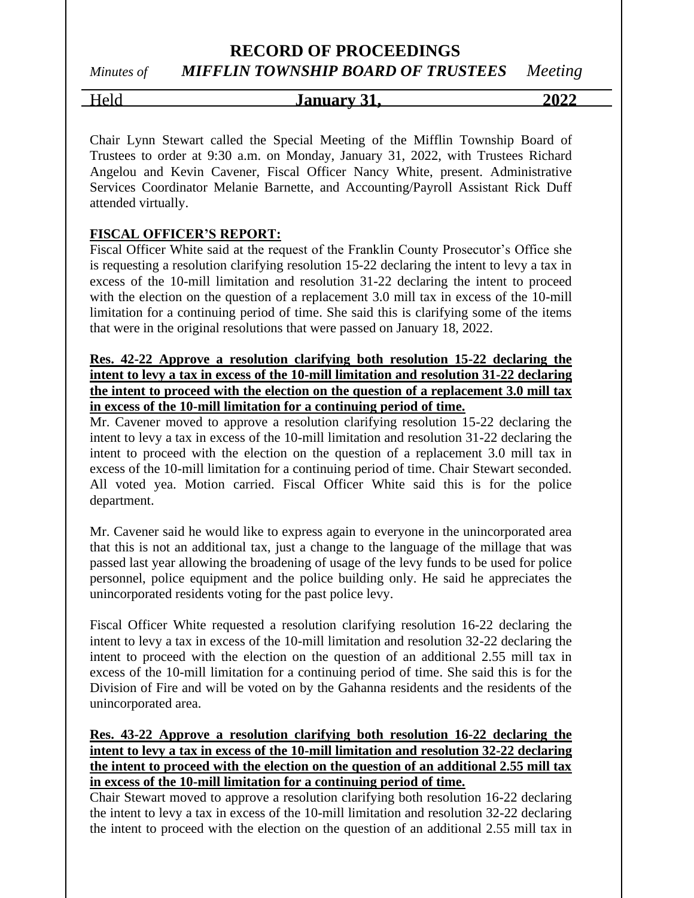### **RECORD OF PROCEEDINGS**

# *Minutes of MIFFLIN TOWNSHIP BOARD OF TRUSTEES Meeting*

### Held **January 31, 2022**

Chair Lynn Stewart called the Special Meeting of the Mifflin Township Board of Trustees to order at 9:30 a.m. on Monday, January 31, 2022, with Trustees Richard Angelou and Kevin Cavener, Fiscal Officer Nancy White, present. Administrative Services Coordinator Melanie Barnette, and Accounting/Payroll Assistant Rick Duff attended virtually.

#### **FISCAL OFFICER'S REPORT:**

Fiscal Officer White said at the request of the Franklin County Prosecutor's Office she is requesting a resolution clarifying resolution 15-22 declaring the intent to levy a tax in excess of the 10-mill limitation and resolution 31-22 declaring the intent to proceed with the election on the question of a replacement 3.0 mill tax in excess of the 10-mill limitation for a continuing period of time. She said this is clarifying some of the items that were in the original resolutions that were passed on January 18, 2022.

#### **Res. 42-22 Approve a resolution clarifying both resolution 15-22 declaring the intent to levy a tax in excess of the 10-mill limitation and resolution 31-22 declaring the intent to proceed with the election on the question of a replacement 3.0 mill tax in excess of the 10-mill limitation for a continuing period of time.**

Mr. Cavener moved to approve a resolution clarifying resolution 15-22 declaring the intent to levy a tax in excess of the 10-mill limitation and resolution 31-22 declaring the intent to proceed with the election on the question of a replacement 3.0 mill tax in excess of the 10-mill limitation for a continuing period of time. Chair Stewart seconded. All voted yea. Motion carried. Fiscal Officer White said this is for the police department.

Mr. Cavener said he would like to express again to everyone in the unincorporated area that this is not an additional tax, just a change to the language of the millage that was passed last year allowing the broadening of usage of the levy funds to be used for police personnel, police equipment and the police building only. He said he appreciates the unincorporated residents voting for the past police levy.

Fiscal Officer White requested a resolution clarifying resolution 16-22 declaring the intent to levy a tax in excess of the 10-mill limitation and resolution 32-22 declaring the intent to proceed with the election on the question of an additional 2.55 mill tax in excess of the 10-mill limitation for a continuing period of time. She said this is for the Division of Fire and will be voted on by the Gahanna residents and the residents of the unincorporated area.

#### **Res. 43-22 Approve a resolution clarifying both resolution 16-22 declaring the intent to levy a tax in excess of the 10-mill limitation and resolution 32-22 declaring the intent to proceed with the election on the question of an additional 2.55 mill tax in excess of the 10-mill limitation for a continuing period of time.**

Chair Stewart moved to approve a resolution clarifying both resolution 16-22 declaring the intent to levy a tax in excess of the 10-mill limitation and resolution 32-22 declaring the intent to proceed with the election on the question of an additional 2.55 mill tax in